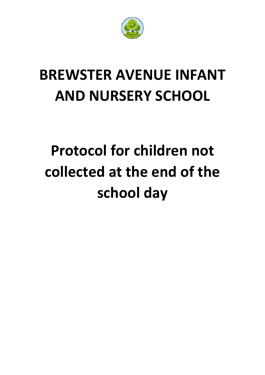

## **BREWSTER AVENUE INFANT AND NURSERY SCHOOL**

## **Protocol for children not collected at the end of the school day**